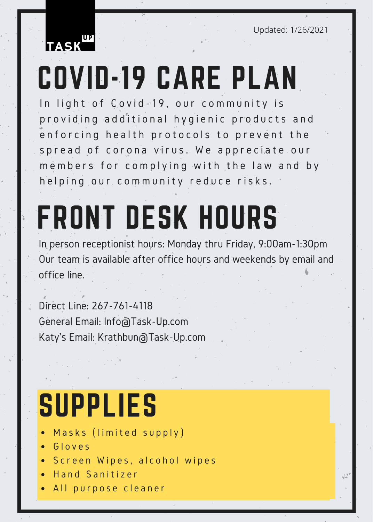Updated: 1/26/2021



# COVID-19 CARE PLAN

In light of Covid-19, our community is providing additional hygienic products and enforcing health protocols to prevent the spread of corona virus. We appreciate our members for complying with the law and by helping our community reduce risks.

# FRONT DESK HOURS

In person receptionist hours: Monday thru Friday, 9:00am-1:30pm Our team is available after office hours and weekends by email and office line.

Direct Line: 267-761-4118 General Email: Info@Task-Up.com Katy's Email: Krathbun@Task-Up.com

### SUPPLIES

- Masks (limited supply)
- Gloves
- · Screen Wipes, alcohol wipes
- H and Sanitizer
- All purpose cleaner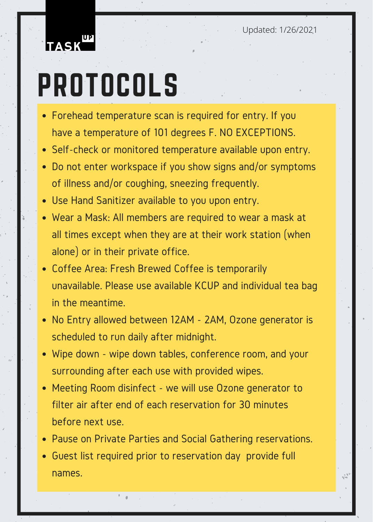Updated: 1/26/2021



## PROTOCOLS

- Forehead temperature scan is required for entry. If you have a temperature of 101 degrees F. NO EXCEPTIONS.
- Self-check or monitored temperature available upon entry.
- Do not enter workspace if you show signs and/or symptoms of illness and/or coughing, sneezing frequently.
- Use Hand Sanitizer available to you upon entry.
- Wear a Mask: All members are required to wear a mask at all times except when they are at their work station (when alone) or in their private office.
- Coffee Area: Fresh Brewed Coffee is temporarily unavailable. Please use available KCUP and individual tea bag in the meantime.
- No Entry allowed between 12AM 2AM, Ozone generator is scheduled to run daily after midnight.
- Wipe down wipe down tables, conference room, and your surrounding after each use with provided wipes.
- Meeting Room disinfect we will use Ozone generator to filter air after end of each reservation for 30 minutes before next use.
- Pause on Private Parties and Social Gathering reservations.
- Guest list required prior to reservation day provide full names.